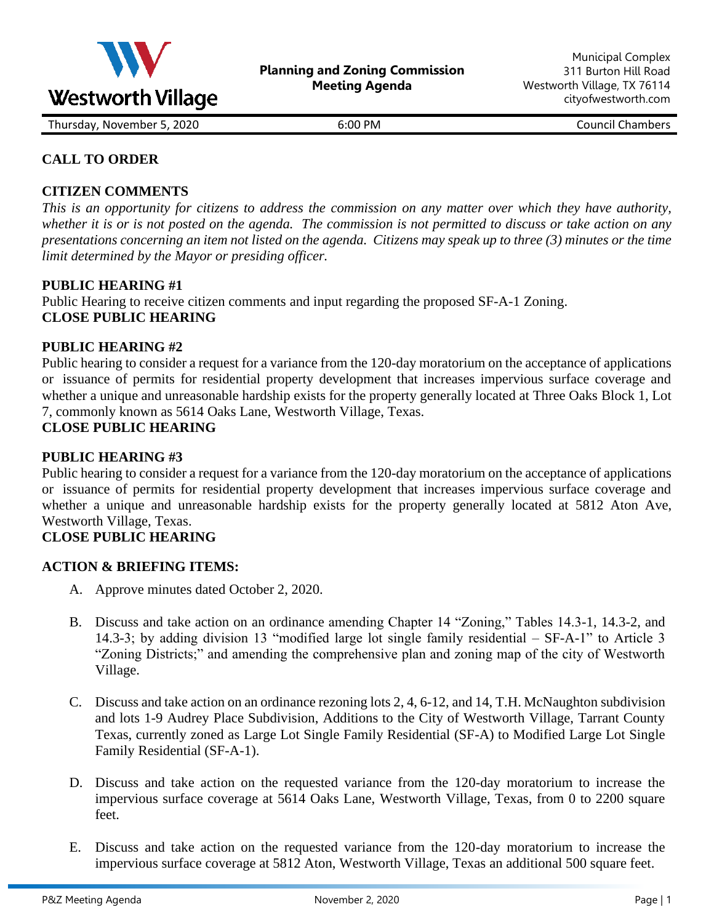

Thursday, November 5, 2020 **6:00 PM** 6:00 PM Council Chambers

# **CALL TO ORDER**

## **CITIZEN COMMENTS**

*This is an opportunity for citizens to address the commission on any matter over which they have authority, whether it is or is not posted on the agenda. The commission is not permitted to discuss or take action on any presentations concerning an item not listed on the agenda. Citizens may speak up to three (3) minutes or the time limit determined by the Mayor or presiding officer.*

### **PUBLIC HEARING #1**

Public Hearing to receive citizen comments and input regarding the proposed SF-A-1 Zoning. **CLOSE PUBLIC HEARING**

### **PUBLIC HEARING #2**

Public hearing to consider a request for a variance from the 120-day moratorium on the acceptance of applications or issuance of permits for residential property development that increases impervious surface coverage and whether a unique and unreasonable hardship exists for the property generally located at Three Oaks Block 1, Lot 7, commonly known as 5614 Oaks Lane, Westworth Village, Texas. **CLOSE PUBLIC HEARING**

### **PUBLIC HEARING #3**

Public hearing to consider a request for a variance from the 120-day moratorium on the acceptance of applications or issuance of permits for residential property development that increases impervious surface coverage and whether a unique and unreasonable hardship exists for the property generally located at 5812 Aton Ave, Westworth Village, Texas.

## **CLOSE PUBLIC HEARING**

### **ACTION & BRIEFING ITEMS:**

- A. Approve minutes dated October 2, 2020.
- B. Discuss and take action on an ordinance amending Chapter 14 "Zoning," Tables 14.3-1, 14.3-2, and 14.3-3; by adding division 13 "modified large lot single family residential – SF-A-1" to Article 3 "Zoning Districts;" and amending the comprehensive plan and zoning map of the city of Westworth Village.
- C. Discuss and take action on an ordinance rezoning lots 2, 4, 6-12, and 14, T.H. McNaughton subdivision and lots 1-9 Audrey Place Subdivision, Additions to the City of Westworth Village, Tarrant County Texas, currently zoned as Large Lot Single Family Residential (SF-A) to Modified Large Lot Single Family Residential (SF-A-1).
- D. Discuss and take action on the requested variance from the 120-day moratorium to increase the impervious surface coverage at 5614 Oaks Lane, Westworth Village, Texas, from 0 to 2200 square feet.
- E. Discuss and take action on the requested variance from the 120-day moratorium to increase the impervious surface coverage at 5812 Aton, Westworth Village, Texas an additional 500 square feet.